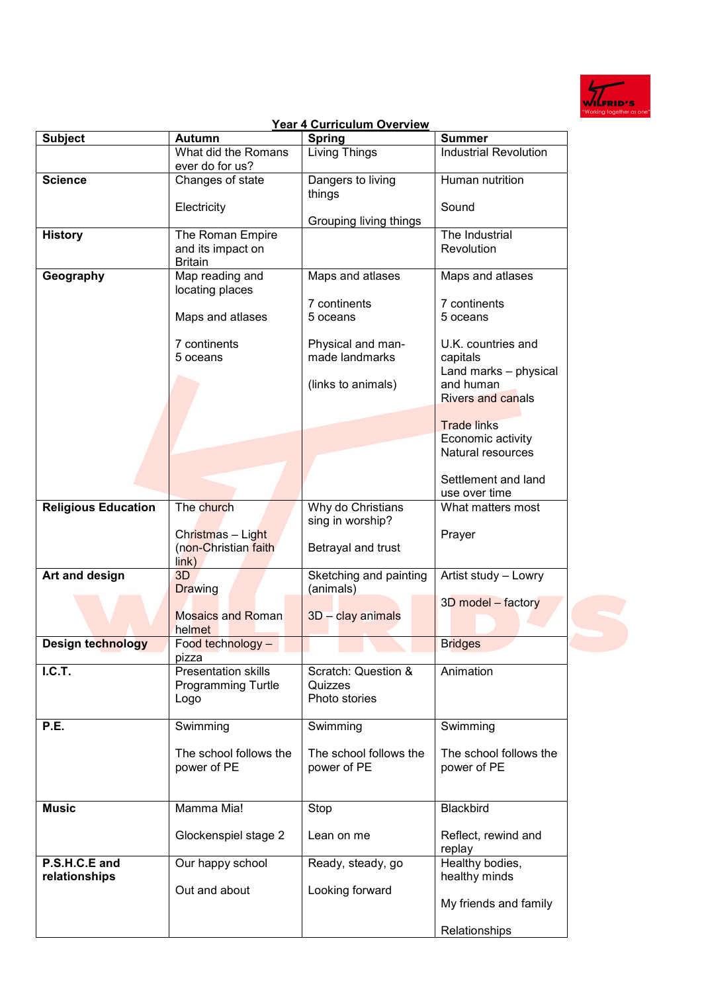

## **Year 4 Curriculum Overview**<br>Autumn | Spring Subject **Autumn Spring Subject** Summer What did the Romans ever do for us? Living Things **Industrial Revolution Science** Changes of state **Electricity** Dangers to living things Grouping living things Human nutrition **Sound History The Roman Empire** and its impact on **Britain** The Industrial **Revolution Geography** Map reading and locating places Maps and atlases 7 continents 5 oceans Maps and atlases 7 continents 5 oceans Physical and manmade landmarks (links to animals) Maps and atlases 7 continents 5 oceans U.K. countries and capitals Land marks – physical and human Rivers and canals Trade links Economic activity Natural resources Settlement and land use over time **Religious Education** The church Christmas – Light (non-Christian faith link) Why do Christians sing in worship? Betrayal and trust What matters most Prayer Art and design 3D **Drawing** Mosaics and Roman helmet Sketching and painting (animals) 3D – clay animals Artist study – Lowry 3D model – factory **Design technology** Food technology – pizza **Bridges I.C.T. C.T. Presentation skills** Programming Turtle Logo Scratch: Question & Quizzes Photo stories Animation P.E. **Swimming** The school follows the power of PE Swimming The school follows the power of PE Swimming The school follows the power of PE **Music** Mamma Mia! Glockenspiel stage 2 Stop Lean on me **Blackbird** Reflect, rewind and replay **P.S.H.C.E and relationships** Our happy school Out and about Ready, steady, go Looking forward Healthy bodies, healthy minds My friends and family

Relationships